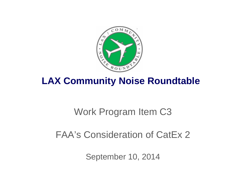

# **LAX Community Noise Roundtable**

# Work Program Item C3

# FAA's Consideration of CatEx 2

September 10, 2014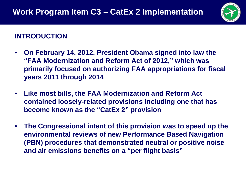

#### **INTRODUCTION**

- **On February 14, 2012, President Obama signed into law the "FAA Modernization and Reform Act of 2012," which was primarily focused on authorizing FAA appropriations for fiscal years 2011 through 2014**
- **Like most bills, the FAA Modernization and Reform Act contained loosely-related provisions including one that has become known as the "CatEx 2" provision**
- **The Congressional intent of this provision was to speed up the environmental reviews of new Performance Based Navigation (PBN) procedures that demonstrated neutral or positive noise and air emissions benefits on a "per flight basis"**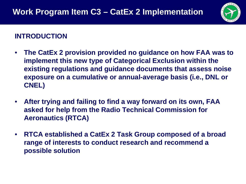

#### **INTRODUCTION**

- **The CatEx 2 provision provided no guidance on how FAA was to implement this new type of Categorical Exclusion within the existing regulations and guidance documents that assess noise exposure on a cumulative or annual-average basis (i.e., DNL or CNEL)**
- **After trying and failing to find a way forward on its own, FAA asked for help from the Radio Technical Commission for Aeronautics (RTCA)**
- **RTCA established a CatEx 2 Task Group composed of a broad range of interests to conduct research and recommend a possible solution**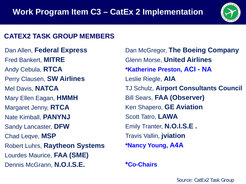

#### **CATEX2 TASK GROUP MEMBERS**

Dan Allen, **Federal Express** Fred Bankert, **MITRE** Andy Cebula, **RTCA** Perry Clausen, **SW Airlines**  Mel Davis, **NATCA** Mary Ellen Eagan, **HMMH**  Margaret Jenny, **RTCA** Nate Kimball, **PANYNJ** Sandy Lancaster, **DFW** Chad Leqve, **MSP** Robert Luhrs, **Raytheon Systems** Lourdes Maurice, **FAA (SME)** Dennis McGrann, **N.O.I.S.E.**

Dan McGregor, **The Boeing Company**  Glenn Morse, **United Airlines \*Katherine Preston, ACI - NA**  Leslie Riegle, **AIA** TJ Schulz, **Airport Consultants Council**  Bill Sears, **FAA (Observer)** Ken Shapero, **GE Aviation**  Scott Tatro, **LAWA** Emily Tranter, **N.O.I.S.E .** Travis Vallin, **jviation \*Nancy Young, A4A**

#### **\*Co-Chairs**

Source: CatEx2 Task Group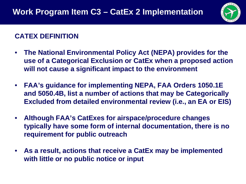

# **CATEX DEFINITION**

- **The National Environmental Policy Act (NEPA) provides for the use of a Categorical Exclusion or CatEx when a proposed action will not cause a significant impact to the environment**
- **FAA's guidance for implementing NEPA, FAA Orders 1050.1E and 5050.4B, list a number of actions that may be Categorically Excluded from detailed environmental review (i.e., an EA or EIS)**
- **Although FAA's CatExes for airspace/procedure changes typically have some form of internal documentation, there is no requirement for public outreach**
- **As a result, actions that receive a CatEx may be implemented with little or no public notice or input**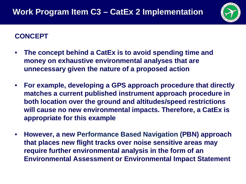

## **CONCEPT**

- **The concept behind a CatEx is to avoid spending time and money on exhaustive environmental analyses that are unnecessary given the nature of a proposed action**
- **For example, developing a GPS approach procedure that directly matches a current published instrument approach procedure in both location over the ground and altitudes/speed restrictions will cause no new environmental impacts. Therefore, a CatEx is appropriate for this example**
- **However, a new Performance Based Navigation (PBN) approach that places new flight tracks over noise sensitive areas may require further environmental analysis in the form of an Environmental Assessment or Environmental Impact Statement**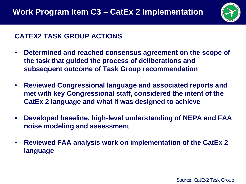

# **CATEX2 TASK GROUP ACTIONS**

- **Determined and reached consensus agreement on the scope of the task that guided the process of deliberations and subsequent outcome of Task Group recommendation**
- **Reviewed Congressional language and associated reports and met with key Congressional staff, considered the intent of the CatEx 2 language and what it was designed to achieve**
- **Developed baseline, high-level understanding of NEPA and FAA noise modeling and assessment**
- **Reviewed FAA analysis work on implementation of the CatEx 2 language**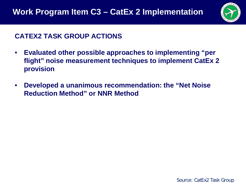

## **CATEX2 TASK GROUP ACTIONS**

- **Evaluated other possible approaches to implementing "per flight" noise measurement techniques to implement CatEx 2 provision**
- **Developed a unanimous recommendation: the "Net Noise Reduction Method" or NNR Method**

Source: CatEx2 Task Group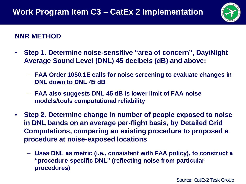

#### **NNR METHOD**

- **Step 1. Determine noise-sensitive "area of concern", Day/Night Average Sound Level (DNL) 45 decibels (dB) and above:**
	- **FAA Order 1050.1E calls for noise screening to evaluate changes in DNL down to DNL 45 dB**
	- **FAA also suggests DNL 45 dB is lower limit of FAA noise models/tools computational reliability**
- **Step 2. Determine change in number of people exposed to noise in DNL bands on an average per-flight basis, by Detailed Grid Computations, comparing an existing procedure to proposed a procedure at noise-exposed locations**
	- **Uses DNL as metric (i.e., consistent with FAA policy), to construct a "procedure-specific DNL" (reflecting noise from particular procedures)**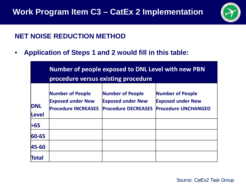

#### **NET NOISE REDUCTION METHOD**

• **Application of Steps 1 and 2 would fill in this table:**

|                            | <b>Number of people exposed to DNL Level with new PBN</b><br>procedure versus existing procedure |                                                                            |                                                                            |
|----------------------------|--------------------------------------------------------------------------------------------------|----------------------------------------------------------------------------|----------------------------------------------------------------------------|
| <b>DNL</b><br><b>Level</b> | <b>Number of People</b><br><b>Exposed under New</b><br><b>Procedure INCREASES</b>                | Number of People<br><b>Exposed under New</b><br><b>Procedure DECREASES</b> | Number of People<br><b>Exposed under New</b><br><b>Procedure UNCHANGED</b> |
| >65                        |                                                                                                  |                                                                            |                                                                            |
| $ 60 - 65 $                |                                                                                                  |                                                                            |                                                                            |
| 45-60                      |                                                                                                  |                                                                            |                                                                            |
| Total                      |                                                                                                  |                                                                            |                                                                            |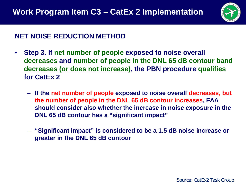

#### **NET NOISE REDUCTION METHOD**

- **Step 3. If net number of people exposed to noise overall decreases and number of people in the DNL 65 dB contour band decreases (or does not increase), the PBN procedure qualifies for CatEx 2**
	- **If the net number of people exposed to noise overall decreases, but the number of people in the DNL 65 dB contour increases, FAA should consider also whether the increase in noise exposure in the DNL 65 dB contour has a "significant impact"**
	- **"Significant impact" is considered to be a 1.5 dB noise increase or greater in the DNL 65 dB contour**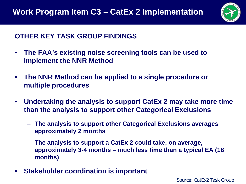

## **OTHER KEY TASK GROUP FINDINGS**

- **The FAA's existing noise screening tools can be used to implement the NNR Method**
- **The NNR Method can be applied to a single procedure or multiple procedures**
- **Undertaking the analysis to support CatEx 2 may take more time than the analysis to support other Categorical Exclusions**
	- **The analysis to support other Categorical Exclusions averages approximately 2 months**
	- **The analysis to support a CatEx 2 could take, on average, approximately 3-4 months – much less time than a typical EA (18 months)**
- **Stakeholder coordination is important**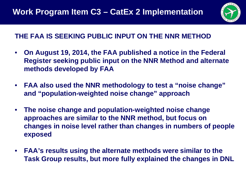

# **THE FAA IS SEEKING PUBLIC INPUT ON THE NNR METHOD**

- **On August 19, 2014, the FAA published a notice in the Federal Register seeking public input on the NNR Method and alternate methods developed by FAA**
- **FAA also used the NNR methodology to test a "noise change" and "population-weighted noise change" approach**
- **The noise change and population-weighted noise change approaches are similar to the NNR method, but focus on changes in noise level rather than changes in numbers of people exposed**
- **FAA's results using the alternate methods were similar to the Task Group results, but more fully explained the changes in DNL**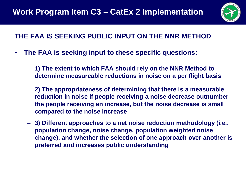

# **THE FAA IS SEEKING PUBLIC INPUT ON THE NNR METHOD**

- **The FAA is seeking input to these specific questions:**
	- **1) The extent to which FAA should rely on the NNR Method to determine measureable reductions in noise on a per flight basis**
	- **2) The appropriateness of determining that there is a measurable reduction in noise if people receiving a noise decrease outnumber the people receiving an increase, but the noise decrease is small compared to the noise increase**
	- **3) Different approaches to a net noise reduction methodology (i.e., population change, noise change, population weighted noise change), and whether the selection of one approach over another is preferred and increases public understanding**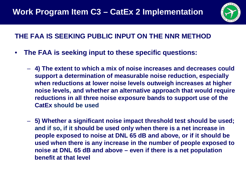

# **THE FAA IS SEEKING PUBLIC INPUT ON THE NNR METHOD**

- **The FAA is seeking input to these specific questions:**
	- **4) The extent to which a mix of noise increases and decreases could support a determination of measurable noise reduction, especially when reductions at lower noise levels outweigh increases at higher noise levels, and whether an alternative approach that would require reductions in all three noise exposure bands to support use of the CatEx should be used**
	- **5) Whether a significant noise impact threshold test should be used; and if so, if it should be used only when there is a net increase in people exposed to noise at DNL 65 dB and above, or if it should be used when there is any increase in the number of people exposed to noise at DNL 65 dB and above – even if there is a net population benefit at that level**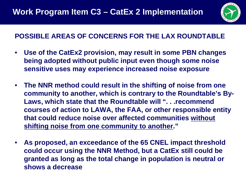

# **POSSIBLE AREAS OF CONCERNS FOR THE LAX ROUNDTABLE**

- **Use of the CatEx2 provision, may result in some PBN changes being adopted without public input even though some noise sensitive uses may experience increased noise exposure**
- **The NNR method could result in the shifting of noise from one community to another, which is contrary to the Roundtable's By-Laws, which state that the Roundtable will ". . .recommend courses of action to LAWA, the FAA, or other responsible entity that could reduce noise over affected communities without shifting noise from one community to another."**
- **As proposed, an exceedance of the 65 CNEL impact threshold could occur using the NNR Method, but a CatEx still could be granted as long as the total change in population is neutral or shows a decrease**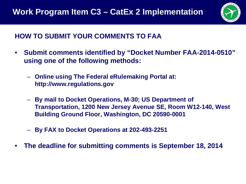

# **HOW TO SUBMIT YOUR COMMENTS TO FAA**

- **Submit comments identified by "Docket Number FAA-2014-0510" using one of the following methods:**
	- **Online using The Federal eRulemaking Portal at: http://www.regulations.gov**
	- **By mail to Docket Operations, M-30; US Department of Transportation, 1200 New Jersey Avenue SE, Room W12-140, West Building Ground Floor, Washington, DC 20590-0001**
	- **By FAX to Docket Operations at 202-493-2251**
- **The deadline for submitting comments is September 18, 2014**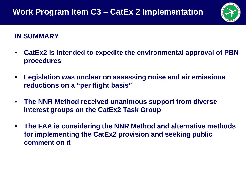

## **IN SUMMARY**

- **CatEx2 is intended to expedite the environmental approval of PBN procedures**
- **Legislation was unclear on assessing noise and air emissions reductions on a "per flight basis"**
- **The NNR Method received unanimous support from diverse interest groups on the CatEx2 Task Group**
- **The FAA is considering the NNR Method and alternative methods for implementing the CatEx2 provision and seeking public comment on it**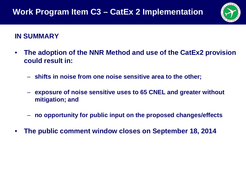

#### **IN SUMMARY**

- **The adoption of the NNR Method and use of the CatEx2 provision could result in:**
	- **shifts in noise from one noise sensitive area to the other;**
	- **exposure of noise sensitive uses to 65 CNEL and greater without mitigation; and**
	- **no opportunity for public input on the proposed changes/effects**
- **The public comment window closes on September 18, 2014**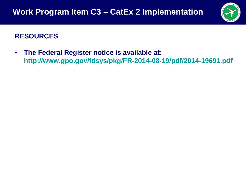

## **RESOURCES**

• **The Federal Register notice is available at: <http://www.gpo.gov/fdsys/pkg/FR-2014-08-19/pdf/2014-19691.pdf>**